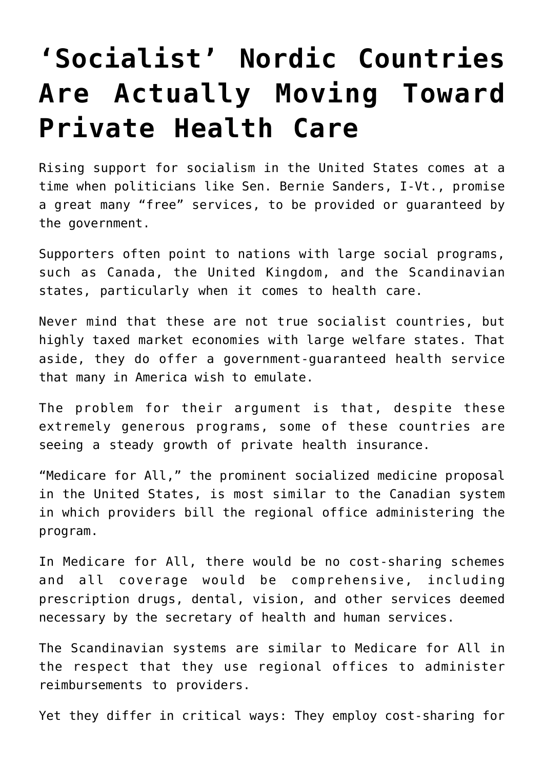## **['Socialist' Nordic Countries](https://intellectualtakeout.org/2019/06/socialist-nordic-countries-are-actually-moving-toward-private-health-care/) [Are Actually Moving Toward](https://intellectualtakeout.org/2019/06/socialist-nordic-countries-are-actually-moving-toward-private-health-care/) [Private Health Care](https://intellectualtakeout.org/2019/06/socialist-nordic-countries-are-actually-moving-toward-private-health-care/)**

Rising support for socialism in the United States comes at a time when politicians like Sen. Bernie Sanders, I-Vt., promise a great many "free" services, to be provided or guaranteed by the government.

Supporters often point to nations with large social programs, such as Canada, the United Kingdom, and the Scandinavian states, particularly when it comes to health care.

Never mind that these are not true socialist countries, but highly taxed market economies with large welfare states. That aside, they do offer a government-guaranteed health service that many in America wish to emulate.

The problem for their argument is that, despite these extremely generous programs, some of these countries are seeing a steady growth of private health insurance.

"Medicare for All," the prominent socialized medicine proposal in the United States, is most similar to the Canadian system in which providers bill the regional office administering the program.

In Medicare for All, there would be no cost-sharing schemes and all coverage would be comprehensive, including prescription drugs, dental, vision, and other services deemed necessary by the secretary of health and human services.

The Scandinavian systems are similar to Medicare for All in the respect that they use regional offices to administer reimbursements to providers.

Yet they differ in critical ways: They employ cost-sharing for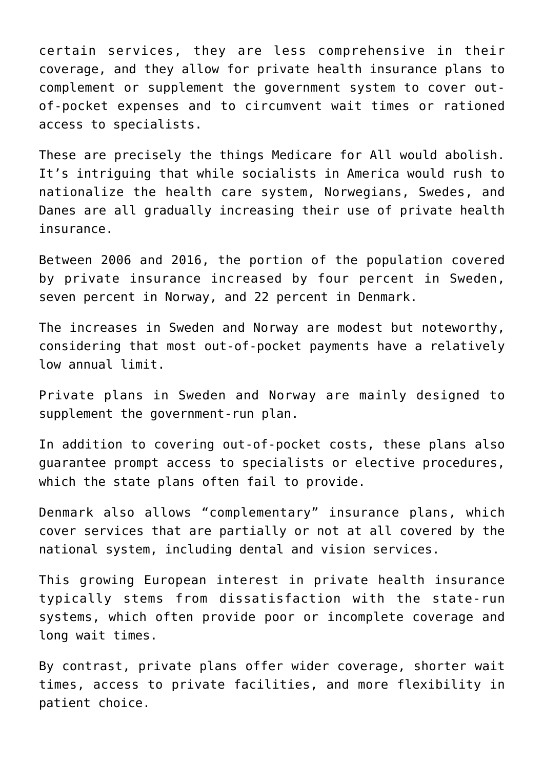certain services, they are less comprehensive in their coverage, and they allow for private health insurance plans to complement or supplement the government system to cover outof-pocket expenses and to circumvent wait times or rationed access to specialists.

These are precisely the things Medicare for All would abolish. It's intriguing that while socialists in America would rush to nationalize the health care system, Norwegians, Swedes, and Danes are all gradually increasing their use of private health insurance.

Between 2006 and 2016, the portion of the population covered by private insurance increased by four percent in Sweden, seven percent in Norway, and 22 percent in Denmark.

The increases in Sweden and Norway are modest but noteworthy, considering that most out-of-pocket payments have a relatively low annual limit.

Private plans in Sweden and Norway are mainly designed to supplement the government-run plan.

In addition to covering out-of-pocket costs, these plans also guarantee prompt access to specialists or elective procedures, which the state plans often fail to provide.

Denmark also allows "complementary" insurance plans, which cover services that are partially or not at all covered by the national system, including dental and vision services.

This growing European interest in private health insurance typically stems from dissatisfaction with the state-run systems, which often provide poor or incomplete coverage and long wait times.

By contrast, private plans offer wider coverage, shorter wait times, access to private facilities, and more flexibility in patient choice.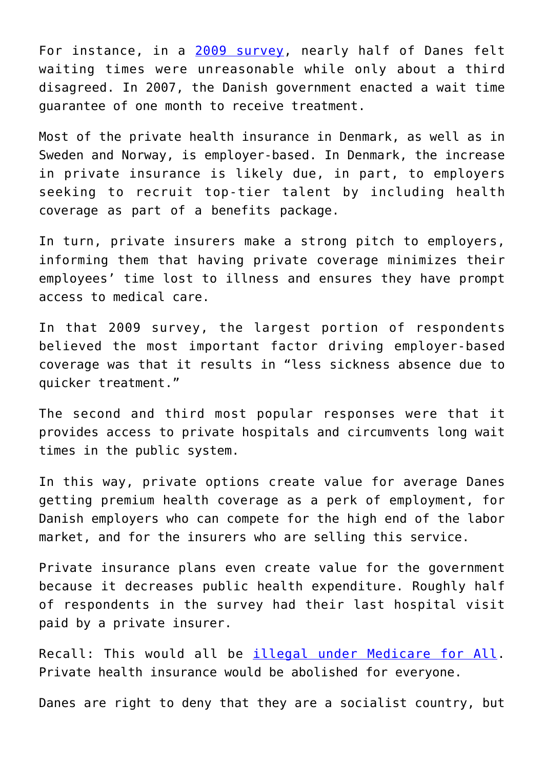For instance, in a [2009 survey](https://econpapers.repec.org/paper/hhssduhec/2009_5f003.htm), nearly half of Danes felt waiting times were unreasonable while only about a third disagreed. In 2007, the Danish government enacted a wait time guarantee of one month to receive treatment.

Most of the private health insurance in Denmark, as well as in Sweden and Norway, is employer-based. In Denmark, the increase in private insurance is likely due, in part, to employers seeking to recruit top-tier talent by including health coverage as part of a benefits package.

In turn, private insurers make a strong pitch to employers, informing them that having private coverage minimizes their employees' time lost to illness and ensures they have prompt access to medical care.

In that 2009 survey, the largest portion of respondents believed the most important factor driving employer-based coverage was that it results in "less sickness absence due to quicker treatment."

The second and third most popular responses were that it provides access to private hospitals and circumvents long wait times in the public system.

In this way, private options create value for average Danes getting premium health coverage as a perk of employment, for Danish employers who can compete for the high end of the labor market, and for the insurers who are selling this service.

Private insurance plans even create value for the government because it decreases public health expenditure. Roughly half of respondents in the survey had their last hospital visit paid by a private insurer.

Recall: This would all be [illegal under Medicare for All.](https://www.dailysignal.com/2019/05/22/medicare-for-all-would-eliminate-americans-choices-in-health-coverage/) Private health insurance would be abolished for everyone.

Danes are right to deny that they are a socialist country, but